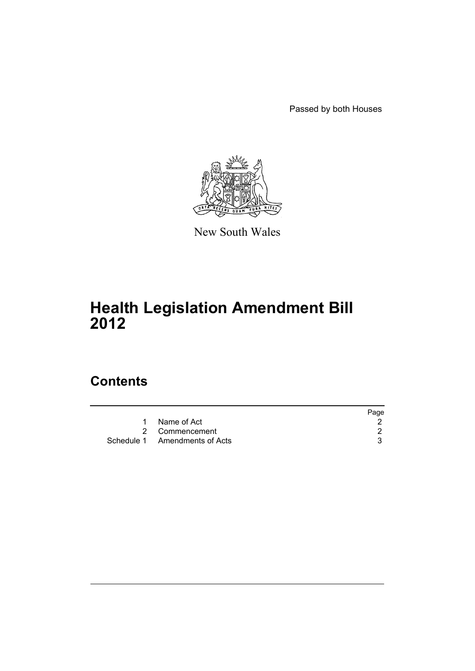Passed by both Houses



New South Wales

# **Health Legislation Amendment Bill 2012**

# **Contents**

|                               | Page |
|-------------------------------|------|
| 1 Name of Act                 |      |
| 2 Commencement                |      |
| Schedule 1 Amendments of Acts |      |
|                               |      |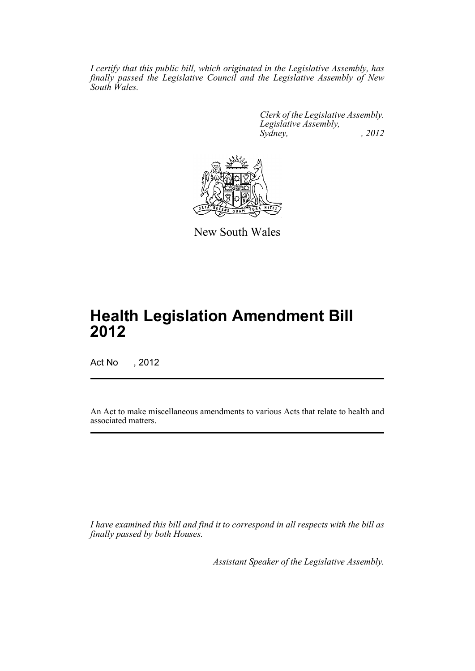*I certify that this public bill, which originated in the Legislative Assembly, has finally passed the Legislative Council and the Legislative Assembly of New South Wales.*

> *Clerk of the Legislative Assembly. Legislative Assembly, Sydney, , 2012*



New South Wales

# **Health Legislation Amendment Bill 2012**

Act No , 2012

An Act to make miscellaneous amendments to various Acts that relate to health and associated matters.

*I have examined this bill and find it to correspond in all respects with the bill as finally passed by both Houses.*

*Assistant Speaker of the Legislative Assembly.*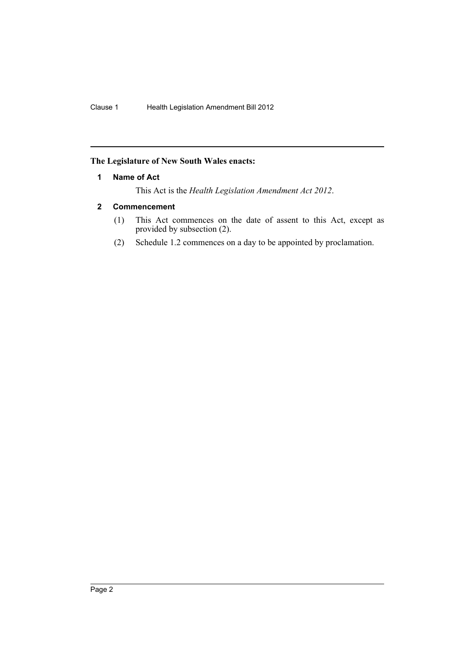# <span id="page-3-0"></span>**The Legislature of New South Wales enacts:**

#### **1 Name of Act**

This Act is the *Health Legislation Amendment Act 2012*.

# <span id="page-3-1"></span>**2 Commencement**

- (1) This Act commences on the date of assent to this Act, except as provided by subsection (2).
- (2) Schedule 1.2 commences on a day to be appointed by proclamation.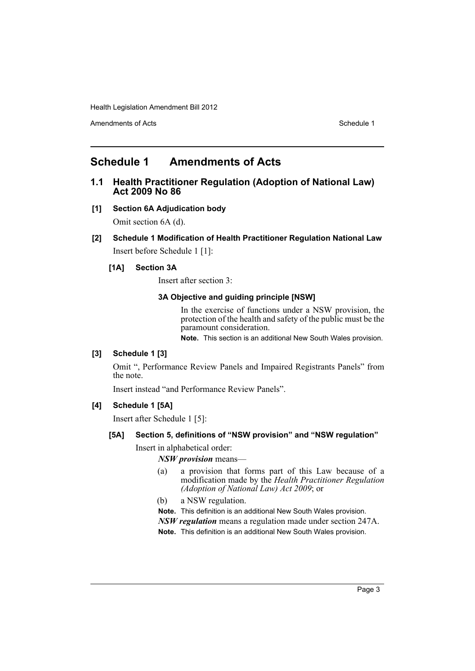Amendments of Acts **Schedule 1** and the set of Acts Schedule 1

# <span id="page-4-0"></span>**Schedule 1 Amendments of Acts**

# **1.1 Health Practitioner Regulation (Adoption of National Law) Act 2009 No 86**

- **[1] Section 6A Adjudication body** Omit section 6A (d).
- **[2] Schedule 1 Modification of Health Practitioner Regulation National Law** Insert before Schedule 1 [1]:
	- **[1A] Section 3A**

Insert after section 3:

#### **3A Objective and guiding principle [NSW]**

In the exercise of functions under a NSW provision, the protection of the health and safety of the public must be the paramount consideration.

**Note.** This section is an additional New South Wales provision.

# **[3] Schedule 1 [3]**

Omit ", Performance Review Panels and Impaired Registrants Panels" from the note.

Insert instead "and Performance Review Panels".

#### **[4] Schedule 1 [5A]**

Insert after Schedule 1 [5]:

## **[5A] Section 5, definitions of "NSW provision" and "NSW regulation"**

Insert in alphabetical order:

*NSW provision* means—

- (a) a provision that forms part of this Law because of a modification made by the *Health Practitioner Regulation (Adoption of National Law) Act 2009*; or
- (b) a NSW regulation.
- **Note.** This definition is an additional New South Wales provision.

*NSW regulation* means a regulation made under section 247A.

**Note.** This definition is an additional New South Wales provision.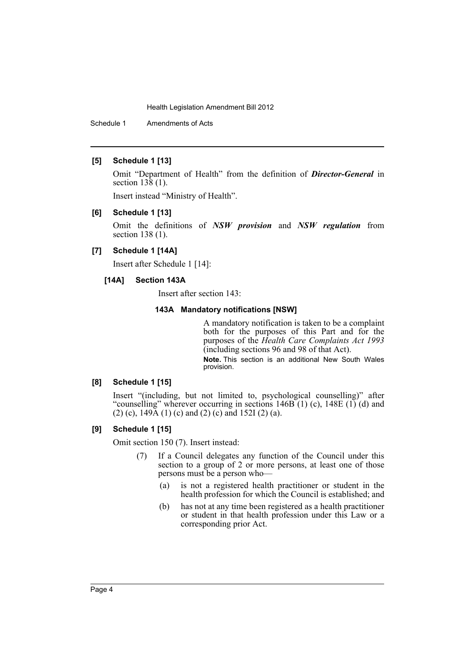Schedule 1 Amendments of Acts

#### **[5] Schedule 1 [13]**

Omit "Department of Health" from the definition of *Director-General* in section 138 (1).

Insert instead "Ministry of Health".

#### **[6] Schedule 1 [13]**

Omit the definitions of *NSW provision* and *NSW regulation* from section 138 (1).

#### **[7] Schedule 1 [14A]**

Insert after Schedule 1 [14]:

#### **[14A] Section 143A**

Insert after section 143:

# **143A Mandatory notifications [NSW]**

A mandatory notification is taken to be a complaint both for the purposes of this Part and for the purposes of the *Health Care Complaints Act 1993* (including sections 96 and 98 of that Act).

**Note.** This section is an additional New South Wales provision.

#### **[8] Schedule 1 [15]**

Insert "(including, but not limited to, psychological counselling)" after "counselling" wherever occurring in sections  $146B(1)$  (c),  $148E(1)$  (d) and (2) (c),  $149\overline{A}$  (1) (c) and (2) (c) and 152I (2) (a).

#### **[9] Schedule 1 [15]**

Omit section 150 (7). Insert instead:

- (7) If a Council delegates any function of the Council under this section to a group of 2 or more persons, at least one of those persons must be a person who—
	- (a) is not a registered health practitioner or student in the health profession for which the Council is established; and
	- (b) has not at any time been registered as a health practitioner or student in that health profession under this Law or a corresponding prior Act.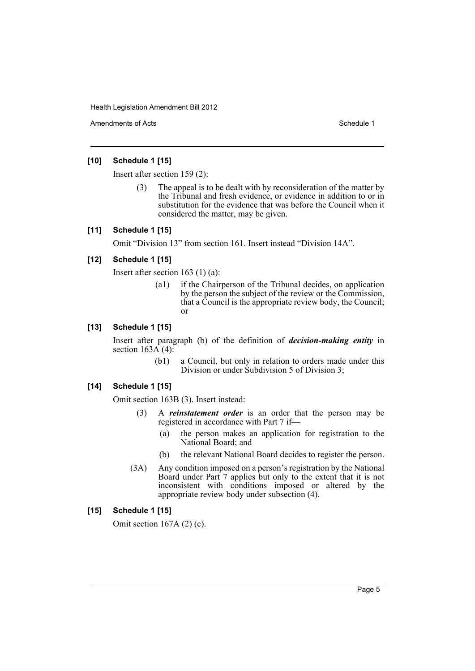Amendments of Acts **Schedule 1** and the set of Acts Schedule 1

# **[10] Schedule 1 [15]**

Insert after section 159 (2):

(3) The appeal is to be dealt with by reconsideration of the matter by the Tribunal and fresh evidence, or evidence in addition to or in substitution for the evidence that was before the Council when it considered the matter, may be given.

# **[11] Schedule 1 [15]**

Omit "Division 13" from section 161. Insert instead "Division 14A".

## **[12] Schedule 1 [15]**

Insert after section 163 (1) (a):

(a1) if the Chairperson of the Tribunal decides, on application by the person the subject of the review or the Commission, that a Council is the appropriate review body, the Council; or

# **[13] Schedule 1 [15]**

Insert after paragraph (b) of the definition of *decision-making entity* in section  $163\overrightarrow{A}(4)$ :

> (b1) a Council, but only in relation to orders made under this Division or under Subdivision 5 of Division 3;

#### **[14] Schedule 1 [15]**

Omit section 163B (3). Insert instead:

- (3) A *reinstatement order* is an order that the person may be registered in accordance with Part 7 if—
	- (a) the person makes an application for registration to the National Board; and
	- (b) the relevant National Board decides to register the person.
- (3A) Any condition imposed on a person's registration by the National Board under Part 7 applies but only to the extent that it is not inconsistent with conditions imposed or altered by the appropriate review body under subsection (4).

# **[15] Schedule 1 [15]**

Omit section 167A (2) (c).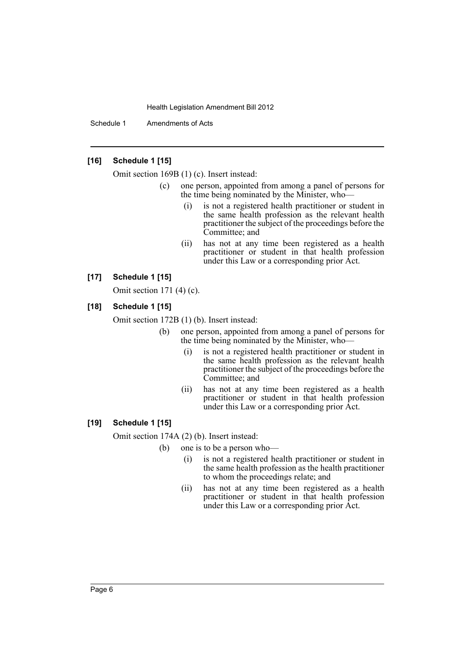Schedule 1 Amendments of Acts

# **[16] Schedule 1 [15]**

Omit section 169B (1) (c). Insert instead:

- (c) one person, appointed from among a panel of persons for the time being nominated by the Minister, who—
	- (i) is not a registered health practitioner or student in the same health profession as the relevant health practitioner the subject of the proceedings before the Committee; and
	- (ii) has not at any time been registered as a health practitioner or student in that health profession under this Law or a corresponding prior Act.

#### **[17] Schedule 1 [15]**

Omit section 171 (4) (c).

# **[18] Schedule 1 [15]**

Omit section 172B (1) (b). Insert instead:

- (b) one person, appointed from among a panel of persons for the time being nominated by the Minister, who—
	- (i) is not a registered health practitioner or student in the same health profession as the relevant health practitioner the subject of the proceedings before the Committee; and
	- (ii) has not at any time been registered as a health practitioner or student in that health profession under this Law or a corresponding prior Act.

# **[19] Schedule 1 [15]**

Omit section 174A (2) (b). Insert instead:

- (b) one is to be a person who—
	- (i) is not a registered health practitioner or student in the same health profession as the health practitioner to whom the proceedings relate; and
	- (ii) has not at any time been registered as a health practitioner or student in that health profession under this Law or a corresponding prior Act.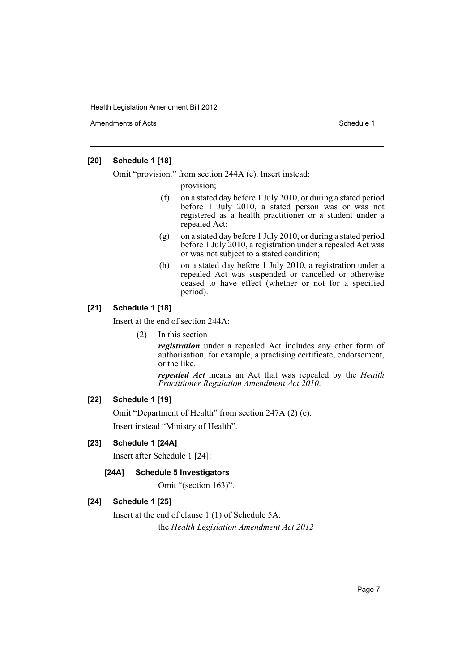Amendments of Acts **Schedule 1** and the set of Acts Schedule 1

#### **[20] Schedule 1 [18]**

Omit "provision." from section 244A (e). Insert instead:

provision;

- (f) on a stated day before 1 July 2010, or during a stated period before 1 July 2010, a stated person was or was not registered as a health practitioner or a student under a repealed Act;
- (g) on a stated day before 1 July 2010, or during a stated period before 1 July 2010, a registration under a repealed Act was or was not subject to a stated condition;
- (h) on a stated day before 1 July 2010, a registration under a repealed Act was suspended or cancelled or otherwise ceased to have effect (whether or not for a specified period).

# **[21] Schedule 1 [18]**

Insert at the end of section 244A:

(2) In this section—

*registration* under a repealed Act includes any other form of authorisation, for example, a practising certificate, endorsement, or the like.

*repealed Act* means an Act that was repealed by the *Health Practitioner Regulation Amendment Act 2010*.

# **[22] Schedule 1 [19]**

Omit "Department of Health" from section 247A (2) (e). Insert instead "Ministry of Health".

# **[23] Schedule 1 [24A]**

Insert after Schedule 1 [24]:

# **[24A] Schedule 5 Investigators**

Omit "(section 163)".

# **[24] Schedule 1 [25]**

Insert at the end of clause 1 (1) of Schedule 5A: the *Health Legislation Amendment Act 2012*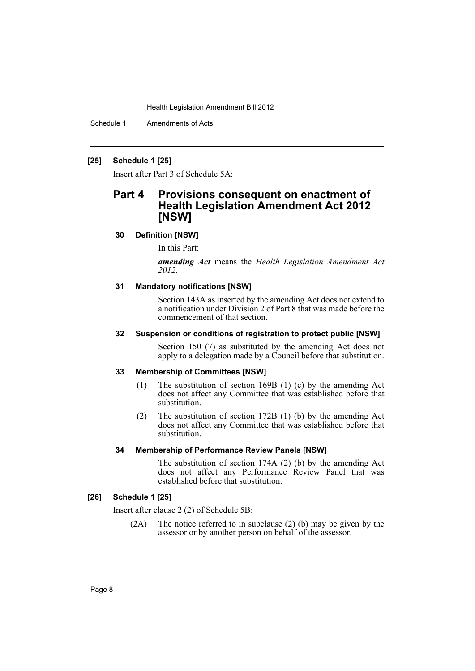Schedule 1 Amendments of Acts

# **[25] Schedule 1 [25]**

Insert after Part 3 of Schedule 5A:

# **Part 4 Provisions consequent on enactment of Health Legislation Amendment Act 2012 [NSW]**

#### **30 Definition [NSW]**

In this Part:

*amending Act* means the *Health Legislation Amendment Act 2012*.

#### **31 Mandatory notifications [NSW]**

Section 143A as inserted by the amending Act does not extend to a notification under Division 2 of Part 8 that was made before the commencement of that section.

#### **32 Suspension or conditions of registration to protect public [NSW]**

Section 150 (7) as substituted by the amending Act does not apply to a delegation made by a Council before that substitution.

#### **33 Membership of Committees [NSW]**

- (1) The substitution of section 169B (1) (c) by the amending Act does not affect any Committee that was established before that substitution.
- (2) The substitution of section 172B (1) (b) by the amending Act does not affect any Committee that was established before that substitution.

# **34 Membership of Performance Review Panels [NSW]**

The substitution of section 174A (2) (b) by the amending Act does not affect any Performance Review Panel that was established before that substitution.

#### **[26] Schedule 1 [25]**

Insert after clause 2 (2) of Schedule 5B:

(2A) The notice referred to in subclause (2) (b) may be given by the assessor or by another person on behalf of the assessor.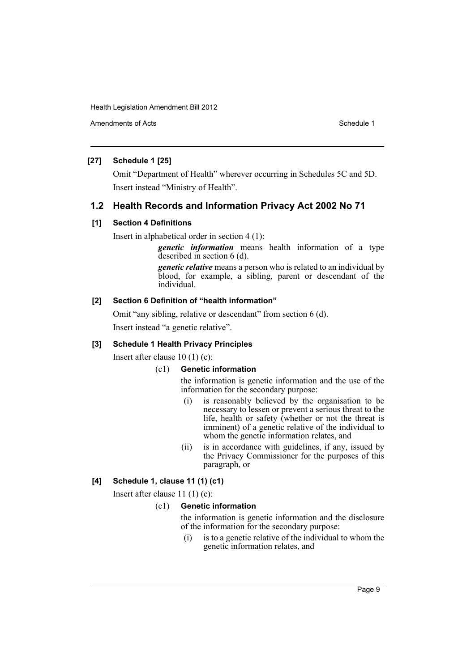Amendments of Acts **Schedule 1** and the set of Acts Schedule 1

#### **[27] Schedule 1 [25]**

Omit "Department of Health" wherever occurring in Schedules 5C and 5D. Insert instead "Ministry of Health".

# **1.2 Health Records and Information Privacy Act 2002 No 71**

# **[1] Section 4 Definitions**

Insert in alphabetical order in section 4 (1):

*genetic information* means health information of a type described in section 6 (d).

*genetic relative* means a person who is related to an individual by blood, for example, a sibling, parent or descendant of the individual.

# **[2] Section 6 Definition of "health information"**

Omit "any sibling, relative or descendant" from section 6 (d).

Insert instead "a genetic relative".

# **[3] Schedule 1 Health Privacy Principles**

Insert after clause 10 (1) (c):

# (c1) **Genetic information**

the information is genetic information and the use of the information for the secondary purpose:

- (i) is reasonably believed by the organisation to be necessary to lessen or prevent a serious threat to the life, health or safety (whether or not the threat is imminent) of a genetic relative of the individual to whom the genetic information relates, and
- (ii) is in accordance with guidelines, if any, issued by the Privacy Commissioner for the purposes of this paragraph, or

# **[4] Schedule 1, clause 11 (1) (c1)**

Insert after clause 11 (1) (c):

# (c1) **Genetic information**

the information is genetic information and the disclosure of the information for the secondary purpose:

(i) is to a genetic relative of the individual to whom the genetic information relates, and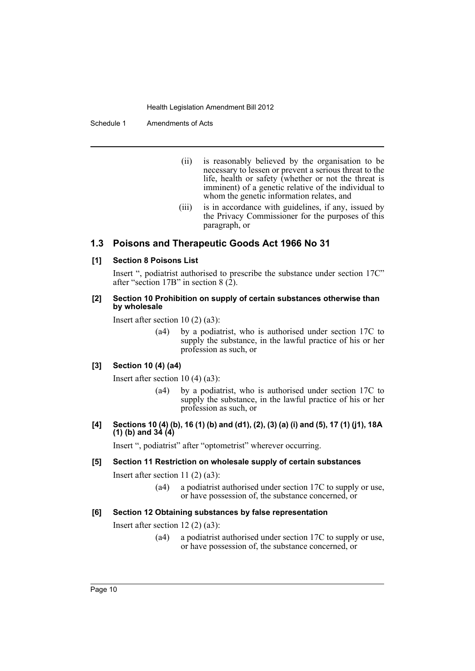Schedule 1 Amendments of Acts

- (ii) is reasonably believed by the organisation to be necessary to lessen or prevent a serious threat to the life, health or safety (whether or not the threat is imminent) of a genetic relative of the individual to whom the genetic information relates, and
- (iii) is in accordance with guidelines, if any, issued by the Privacy Commissioner for the purposes of this paragraph, or

# **1.3 Poisons and Therapeutic Goods Act 1966 No 31**

#### **[1] Section 8 Poisons List**

Insert ", podiatrist authorised to prescribe the substance under section 17C" after "section 17B" in section  $8(2)$ .

#### **[2] Section 10 Prohibition on supply of certain substances otherwise than by wholesale**

Insert after section 10 (2) (a3):

(a4) by a podiatrist, who is authorised under section 17C to supply the substance, in the lawful practice of his or her profession as such, or

#### **[3] Section 10 (4) (a4)**

Insert after section 10 (4) (a3):

(a4) by a podiatrist, who is authorised under section 17C to supply the substance, in the lawful practice of his or her profession as such, or

#### **[4] Sections 10 (4) (b), 16 (1) (b) and (d1), (2), (3) (a) (i) and (5), 17 (1) (j1), 18A (1) (b) and 34 (4)**

Insert ", podiatrist" after "optometrist" wherever occurring.

#### **[5] Section 11 Restriction on wholesale supply of certain substances**

Insert after section 11 (2) (a3):

(a4) a podiatrist authorised under section 17C to supply or use, or have possession of, the substance concerned, or

#### **[6] Section 12 Obtaining substances by false representation**

Insert after section 12 (2) (a3):

(a4) a podiatrist authorised under section 17C to supply or use, or have possession of, the substance concerned, or